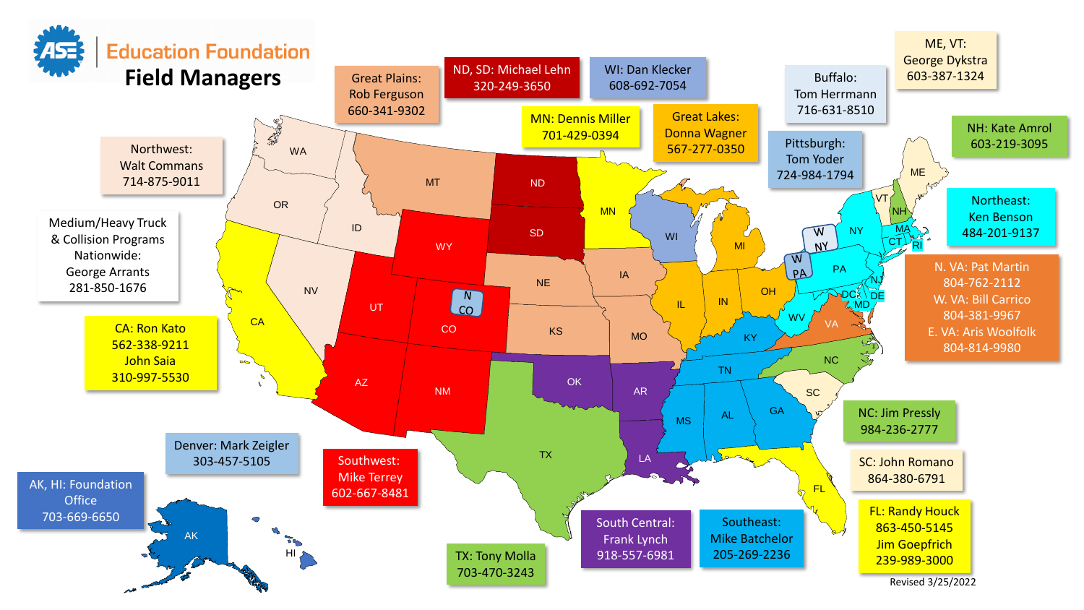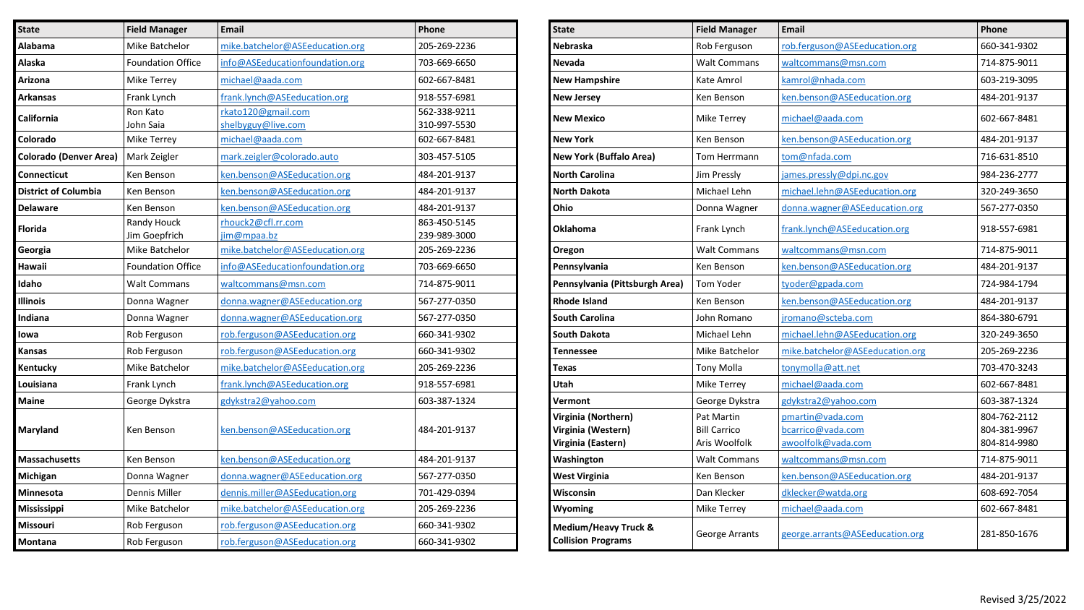| <b>State</b>                  | <b>Field Manager</b>         | <b>Email</b>                             | Phone                        | <b>State</b>                                                    | <b>Field Manager</b>                               | <b>Email</b>                                                | Phone                                        |
|-------------------------------|------------------------------|------------------------------------------|------------------------------|-----------------------------------------------------------------|----------------------------------------------------|-------------------------------------------------------------|----------------------------------------------|
| <b>Alabama</b>                | Mike Batchelor               | mike.batchelor@ASEeducation.org          | 205-269-2236                 | Nebraska                                                        | Rob Ferguson                                       | rob.ferguson@ASEeducation.org                               | 660-341-9302                                 |
| Alaska                        | <b>Foundation Office</b>     | info@ASEeducationfoundation.org          | 703-669-6650                 | <b>Nevada</b>                                                   | <b>Walt Commans</b>                                | waltcommans@msn.com                                         | 714-875-9011                                 |
| Arizona                       | <b>Mike Terrey</b>           | michael@aada.com                         | 602-667-8481                 | <b>New Hampshire</b>                                            | Kate Amrol                                         | kamrol@nhada.com                                            | 603-219-3095                                 |
| Arkansas                      | Frank Lynch                  | frank.lynch@ASEeducation.org             | 918-557-6981                 | <b>New Jersey</b>                                               | Ken Benson                                         | ken.benson@ASEeducation.org                                 | 484-201-9137                                 |
| California                    | Ron Kato<br>John Saia        | rkato120@gmail.com<br>shelbyguy@live.com | 562-338-9211<br>310-997-5530 | <b>New Mexico</b>                                               | <b>Mike Terrey</b>                                 | michael@aada.com                                            | 602-667-8481                                 |
| Colorado                      | <b>Mike Terrey</b>           | michael@aada.com                         | 602-667-8481                 | <b>New York</b>                                                 | Ken Benson                                         | ken.benson@ASEeducation.org                                 | 484-201-9137                                 |
| <b>Colorado (Denver Area)</b> | Mark Zeigler                 | mark.zeigler@colorado.auto               | 303-457-5105                 | <b>New York (Buffalo Area)</b>                                  | Tom Herrmann                                       | tom@nfada.com                                               | 716-631-8510                                 |
| <b>Connecticut</b>            | Ken Benson                   | ken.benson@ASEeducation.org              | 484-201-9137                 | <b>North Carolina</b>                                           | Jim Pressly                                        | james.pressly@dpi.nc.gov                                    | 984-236-2777                                 |
| District of Columbia          | Ken Benson                   | ken.benson@ASEeducation.org              | 484-201-9137                 | <b>North Dakota</b>                                             | Michael Lehn                                       | michael.lehn@ASEeducation.org                               | 320-249-3650                                 |
| <b>Delaware</b>               | Ken Benson                   | ken.benson@ASEeducation.org              | 484-201-9137                 | Ohio                                                            | Donna Wagner                                       | donna.wagner@ASEeducation.org                               | 567-277-0350                                 |
| Florida                       | Randy Houck<br>Jim Goepfrich | rhouck2@cfl.rr.com<br>jim@mpaa.bz        | 863-450-5145<br>239-989-3000 | <b>Oklahoma</b>                                                 | Frank Lynch                                        | frank.lynch@ASEeducation.org                                | 918-557-6981                                 |
| Georgia                       | Mike Batchelor               | mike.batchelor@ASEeducation.org          | 205-269-2236                 | Oregon                                                          | <b>Walt Commans</b>                                | waltcommans@msn.com                                         | 714-875-9011                                 |
| Hawaii                        | <b>Foundation Office</b>     | info@ASEeducationfoundation.org          | 703-669-6650                 | Pennsylvania                                                    | Ken Benson                                         | ken.benson@ASEeducation.org                                 | 484-201-9137                                 |
| Idaho                         | <b>Walt Commans</b>          | waltcommans@msn.com                      | 714-875-9011                 | Pennsylvania (Pittsburgh Area)                                  | Tom Yoder                                          | tyoder@gpada.com                                            | 724-984-1794                                 |
| <b>Illinois</b>               | Donna Wagner                 | donna.wagner@ASEeducation.org            | 567-277-0350                 | Rhode Island                                                    | Ken Benson                                         | ken.benson@ASEeducation.org                                 | 484-201-9137                                 |
| Indiana                       | Donna Wagner                 | donna.wagner@ASEeducation.org            | 567-277-0350                 | <b>South Carolina</b>                                           | John Romano                                        | jromano@scteba.com                                          | 864-380-6791                                 |
| lowa                          | Rob Ferguson                 | rob.ferguson@ASEeducation.org            | 660-341-9302                 | South Dakota                                                    | Michael Lehn                                       | michael.lehn@ASEeducation.org                               | 320-249-3650                                 |
| Kansas                        | Rob Ferguson                 | rob.ferguson@ASEeducation.org            | 660-341-9302                 | Tennessee                                                       | Mike Batchelor                                     | mike.batchelor@ASEeducation.org                             | 205-269-2236                                 |
| <b>Kentucky</b>               | Mike Batchelor               | mike.batchelor@ASEeducation.org          | 205-269-2236                 | Texas                                                           | <b>Tony Molla</b>                                  | tonymolla@att.net                                           | 703-470-3243                                 |
| Louisiana                     | Frank Lynch                  | frank.lynch@ASEeducation.org             | 918-557-6981                 | Utah                                                            | <b>Mike Terrey</b>                                 | michael@aada.com                                            | 602-667-8481                                 |
| Maine                         | George Dykstra               | gdykstra2@yahoo.com                      | 603-387-1324                 | Vermont                                                         | George Dykstra                                     | gdykstra2@yahoo.com                                         | 603-387-1324                                 |
| Maryland                      | Ken Benson                   | ken.benson@ASEeducation.org              | 484-201-9137                 | Virginia (Northern)<br>Virginia (Western)<br>Virginia (Eastern) | Pat Martin<br><b>Bill Carrico</b><br>Aris Woolfolk | pmartin@vada.com<br>bcarrico@vada.com<br>awoolfolk@vada.com | 804-762-2112<br>804-381-9967<br>804-814-9980 |
| <b>Massachusetts</b>          | Ken Benson                   | ken.benson@ASEeducation.org              | 484-201-9137                 | Washington                                                      | <b>Walt Commans</b>                                | waltcommans@msn.com                                         | 714-875-9011                                 |
| Michigan                      | Donna Wagner                 | donna.wagner@ASEeducation.org            | 567-277-0350                 | <b>West Virginia</b>                                            | Ken Benson                                         | ken.benson@ASEeducation.org                                 | 484-201-9137                                 |
| Minnesota                     | <b>Dennis Miller</b>         | dennis.miller@ASEeducation.org           | 701-429-0394                 | Wisconsin                                                       | Dan Klecker                                        | dklecker@watda.org                                          | 608-692-7054                                 |
| Mississippi                   | Mike Batchelor               | mike.batchelor@ASEeducation.org          | 205-269-2236                 | <b>Wyoming</b>                                                  | Mike Terrey                                        | michael@aada.com                                            | 602-667-8481                                 |
| Missouri                      | Rob Ferguson                 | rob.ferguson@ASEeducation.org            | 660-341-9302                 | Medium/Heavy Truck &                                            |                                                    | george.arrants@ASEeducation.org                             |                                              |
| Montana                       | Rob Ferguson                 | rob.ferguson@ASEeducation.org            | 660-341-9302                 | <b>Collision Programs</b>                                       | George Arrants                                     |                                                             | 281-850-1676                                 |

| <b>State</b>                                                    | <b>Field Manager</b>                               | <b>Email</b>                                                | Phone                                        |
|-----------------------------------------------------------------|----------------------------------------------------|-------------------------------------------------------------|----------------------------------------------|
| Nebraska                                                        | Rob Ferguson                                       | rob.ferguson@ASEeducation.org                               | 660-341-9302                                 |
| <b>Nevada</b>                                                   | <b>Walt Commans</b>                                | waltcommans@msn.com                                         | 714-875-9011                                 |
| <b>New Hampshire</b>                                            | Kate Amrol                                         | kamrol@nhada.com                                            | 603-219-3095                                 |
| <b>New Jersey</b>                                               | Ken Benson                                         | ken.benson@ASEeducation.org                                 | 484-201-9137                                 |
| <b>New Mexico</b>                                               | Mike Terrey                                        | michael@aada.com                                            | 602-667-8481                                 |
| <b>New York</b>                                                 | Ken Benson                                         | ken.benson@ASEeducation.org                                 | 484-201-9137                                 |
| <b>New York (Buffalo Area)</b>                                  | Tom Herrmann                                       | tom@nfada.com                                               | 716-631-8510                                 |
| <b>North Carolina</b>                                           | Jim Pressly                                        | james.pressly@dpi.nc.gov                                    | 984-236-2777                                 |
| <b>North Dakota</b>                                             | Michael Lehn                                       | michael.lehn@ASEeducation.org                               | 320-249-3650                                 |
| Ohio                                                            | Donna Wagner                                       | donna.wagner@ASEeducation.org                               | 567-277-0350                                 |
| <b>Oklahoma</b>                                                 | Frank Lynch                                        | frank.lynch@ASEeducation.org                                | 918-557-6981                                 |
| Oregon                                                          | <b>Walt Commans</b>                                | waltcommans@msn.com                                         | 714-875-9011                                 |
| Pennsylvania                                                    | Ken Benson                                         | ken.benson@ASEeducation.org                                 | 484-201-9137                                 |
| Pennsylvania (Pittsburgh Area)                                  | <b>Tom Yoder</b>                                   | tyoder@gpada.com                                            | 724-984-1794                                 |
| Rhode Island                                                    | Ken Benson                                         | ken.benson@ASEeducation.org                                 | 484-201-9137                                 |
| <b>South Carolina</b>                                           | John Romano                                        | jromano@scteba.com                                          | 864-380-6791                                 |
| South Dakota                                                    | Michael Lehn                                       | michael.lehn@ASEeducation.org                               | 320-249-3650                                 |
| Tennessee                                                       | Mike Batchelor                                     | mike.batchelor@ASEeducation.org                             | 205-269-2236                                 |
| Texas                                                           | <b>Tony Molla</b>                                  | tonymolla@att.net                                           | 703-470-3243                                 |
| Utah                                                            | Mike Terrey                                        | michael@aada.com                                            | 602-667-8481                                 |
| Vermont                                                         | George Dykstra                                     | gdykstra2@yahoo.com                                         | 603-387-1324                                 |
| Virginia (Northern)<br>Virginia (Western)<br>Virginia (Eastern) | Pat Martin<br><b>Bill Carrico</b><br>Aris Woolfolk | pmartin@vada.com<br>bcarrico@vada.com<br>awoolfolk@vada.com | 804-762-2112<br>804-381-9967<br>804-814-9980 |
| Washington                                                      | <b>Walt Commans</b>                                | waltcommans@msn.com                                         | 714-875-9011                                 |
| <b>West Virginia</b>                                            | Ken Benson                                         | ken.benson@ASEeducation.org                                 | 484-201-9137                                 |
| Wisconsin                                                       | Dan Klecker                                        | dklecker@watda.org                                          | 608-692-7054                                 |
| Wyoming                                                         | Mike Terrey                                        | michael@aada.com                                            | 602-667-8481                                 |
| Medium/Heavy Truck &<br><b>Collision Programs</b>               | George Arrants                                     | george.arrants@ASEeducation.org                             | 281-850-1676                                 |